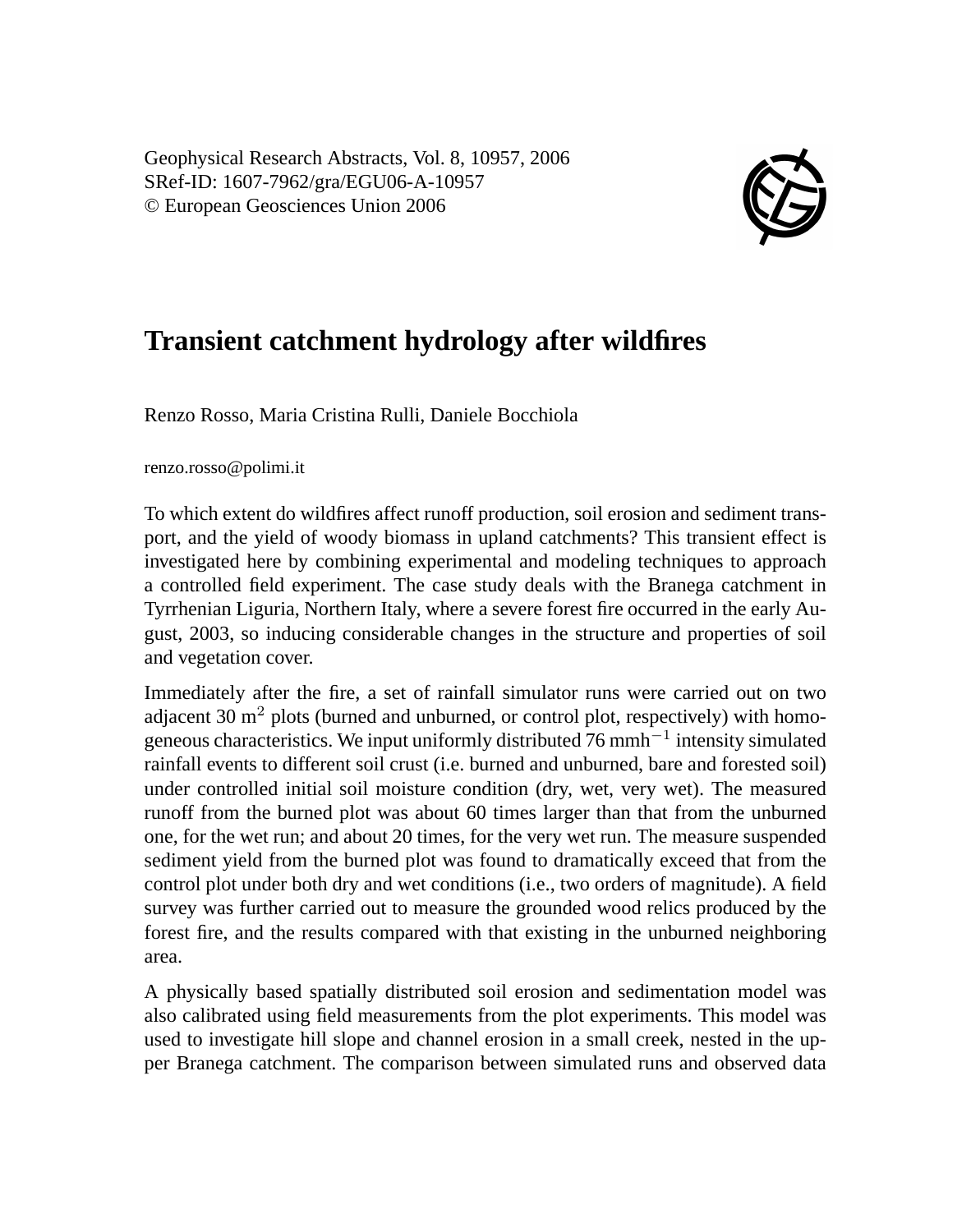Geophysical Research Abstracts, Vol. 8, 10957, 2006 SRef-ID: 1607-7962/gra/EGU06-A-10957 © European Geosciences Union 2006



## **Transient catchment hydrology after wildfires**

Renzo Rosso, Maria Cristina Rulli, Daniele Bocchiola

renzo.rosso@polimi.it

To which extent do wildfires affect runoff production, soil erosion and sediment transport, and the yield of woody biomass in upland catchments? This transient effect is investigated here by combining experimental and modeling techniques to approach a controlled field experiment. The case study deals with the Branega catchment in Tyrrhenian Liguria, Northern Italy, where a severe forest fire occurred in the early August, 2003, so inducing considerable changes in the structure and properties of soil and vegetation cover.

Immediately after the fire, a set of rainfall simulator runs were carried out on two adjacent 30  $\text{m}^2$  plots (burned and unburned, or control plot, respectively) with homogeneous characteristics. We input uniformly distributed  $76$  mmh<sup> $-1$ </sup> intensity simulated rainfall events to different soil crust (i.e. burned and unburned, bare and forested soil) under controlled initial soil moisture condition (dry, wet, very wet). The measured runoff from the burned plot was about 60 times larger than that from the unburned one, for the wet run; and about 20 times, for the very wet run. The measure suspended sediment yield from the burned plot was found to dramatically exceed that from the control plot under both dry and wet conditions (i.e., two orders of magnitude). A field survey was further carried out to measure the grounded wood relics produced by the forest fire, and the results compared with that existing in the unburned neighboring area.

A physically based spatially distributed soil erosion and sedimentation model was also calibrated using field measurements from the plot experiments. This model was used to investigate hill slope and channel erosion in a small creek, nested in the upper Branega catchment. The comparison between simulated runs and observed data